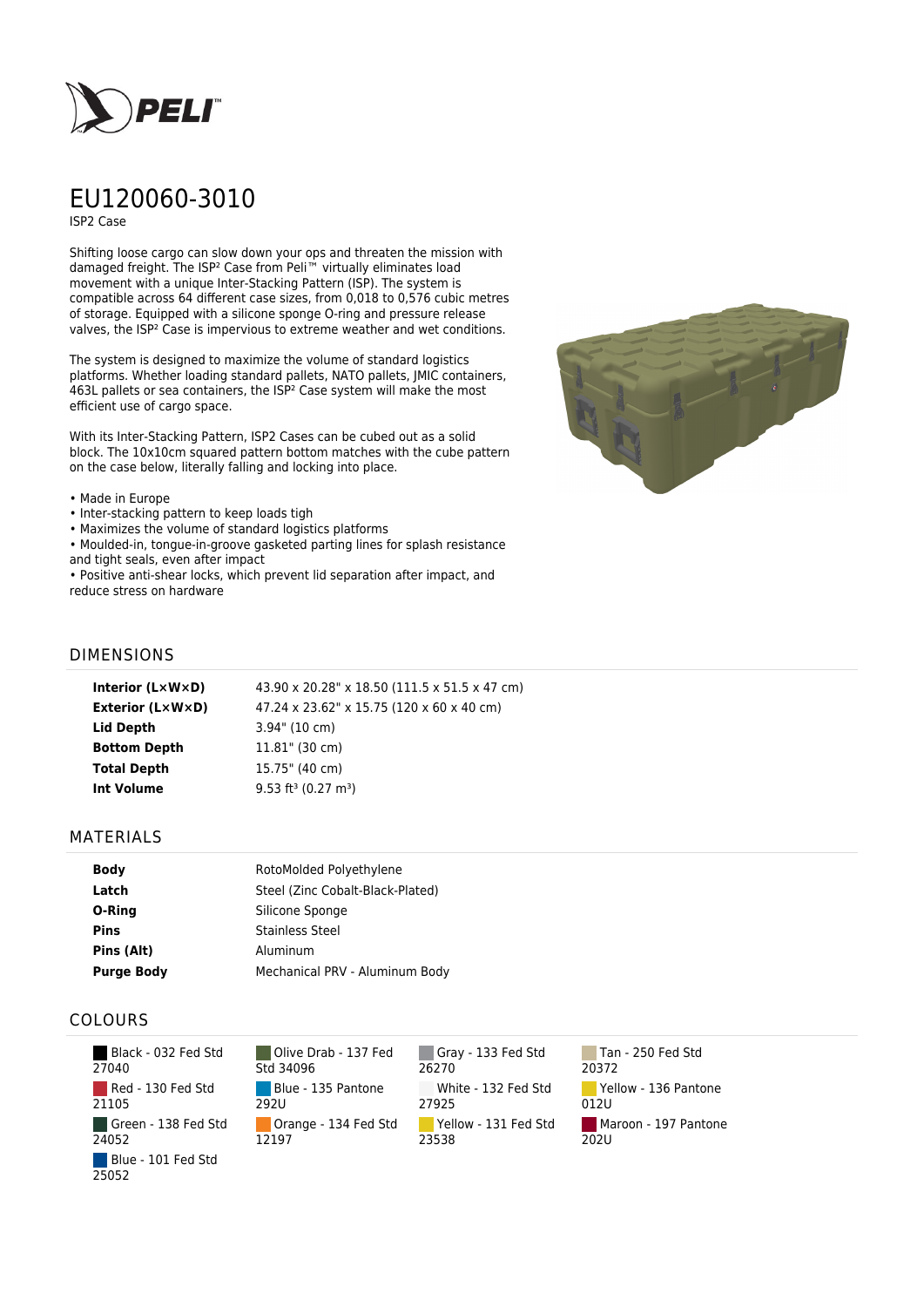

# EU120060-3010

ISP2 Case

Shifting loose cargo can slow down your ops and threaten the mission with damaged freight. The ISP² Case from Peli™ virtually eliminates load movement with a unique Inter-Stacking Pattern (ISP). The system is compatible across 64 different case sizes, from 0,018 to 0,576 cubic metres of storage. Equipped with a silicone sponge O-ring and pressure release valves, the ISP² Case is impervious to extreme weather and wet conditions.

The system is designed to maximize the volume of standard logistics platforms. Whether loading standard pallets, NATO pallets, JMIC containers, 463L pallets or sea containers, the ISP² Case system will make the most efficient use of cargo space.

With its Inter-Stacking Pattern, ISP2 Cases can be cubed out as a solid block. The 10x10cm squared pattern bottom matches with the cube pattern on the case below, literally falling and locking into place.

#### • Made in Europe

- Inter-stacking pattern to keep loads tigh
- Maximizes the volume of standard logistics platforms
- Moulded-in, tongue-in-groove gasketed parting lines for splash resistance and tight seals, even after impact
- Positive anti-shear locks, which prevent lid separation after impact, and reduce stress on hardware



## DIMENSIONS

| Interior (LxWxD)    | 43.90 x 20.28" x 18.50 (111.5 x 51.5 x 47 cm) |
|---------------------|-----------------------------------------------|
| Exterior (L×W×D)    | 47.24 x 23.62" x 15.75 (120 x 60 x 40 cm)     |
| Lid Depth           | $3.94$ " (10 cm)                              |
| <b>Bottom Depth</b> | $11.81$ " (30 cm)                             |
| <b>Total Depth</b>  | 15.75" (40 cm)                                |
| <b>Int Volume</b>   | $9.53$ ft <sup>3</sup> (0.27 m <sup>3</sup> ) |
|                     |                                               |

### MATERIALS

| <b>Body</b>       | RotoMolded Polyethylene          |  |
|-------------------|----------------------------------|--|
| Latch             | Steel (Zinc Cobalt-Black-Plated) |  |
| O-Ring            | Silicone Sponge                  |  |
| <b>Pins</b>       | <b>Stainless Steel</b>           |  |
| Pins (Alt)        | Aluminum                         |  |
| <b>Purge Body</b> | Mechanical PRV - Aluminum Body   |  |

## COLOURS

| Black - 032 Fed Std<br>27040 |
|------------------------------|
| Red - 130 Fed Std<br>21105   |
| Green - 138 Fed Std<br>24052 |
| Blue - 101 Fed Std<br>25052  |

Olive Drab - 137 Fed Std 34096 Blue - 135 Pantone 292U Orange - 134 Fed Std 12197

Gray - 133 Fed Std 26270 White - 132 Fed Std 27925 Yellow - 131 Fed Std 23538

Tan - 250 Fed Std 20372 Yellow - 136 Pantone 012U Maroon - 197 Pantone 202U